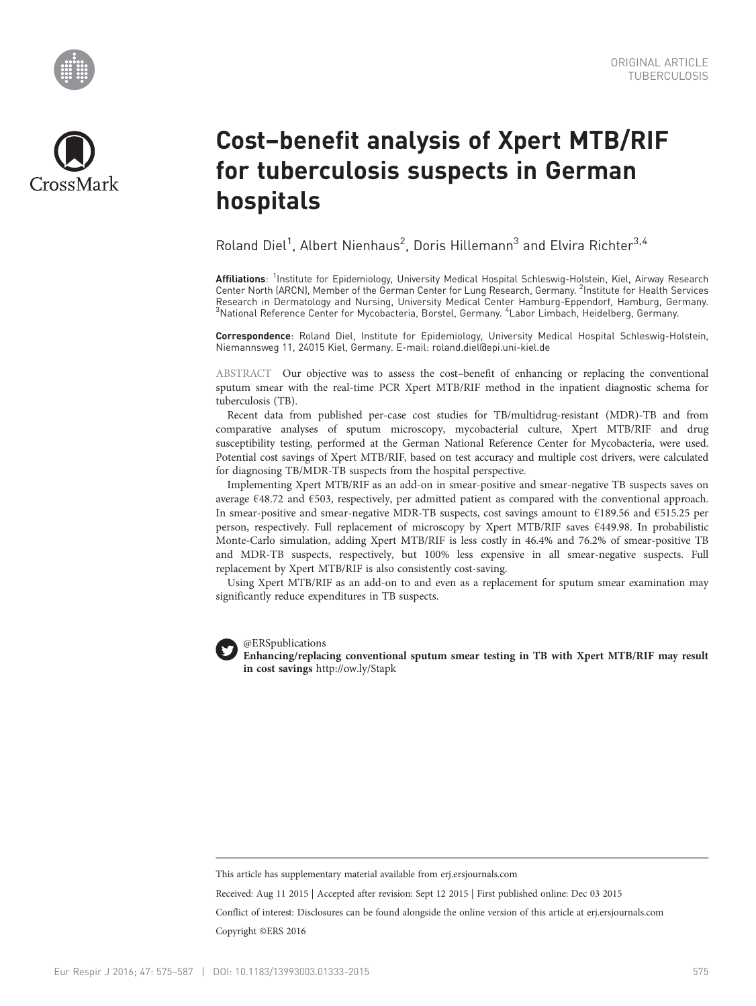



# Cost–benefit analysis of Xpert MTB/RIF for tuberculosis suspects in German hospitals

Roland Diel<sup>1</sup>, Albert Nienhaus<sup>2</sup>, Doris Hillemann<sup>3</sup> and Elvira Richter<sup>3,4</sup>

Affiliations: <sup>1</sup>Institute for Epidemiology, University Medical Hospital Schleswig-Holstein, Kiel, Airway Research Center North (ARCN), Member of the German Center for Lung Research, Germany. <sup>2</sup>Institute for Health Services Research in Dermatology and Nursing, University Medical Center Hamburg-Eppendorf, Hamburg, Germany. <sup>3</sup>National Reference Center for Mycobacteria, Borstel, Germany. <sup>4</sup>Labor Limbach, Heidelberg, Germany.

Correspondence: Roland Diel, Institute for Epidemiology, University Medical Hospital Schleswig-Holstein, Niemannsweg 11, 24015 Kiel, Germany. E-mail: [roland.diel@epi.uni-kiel.de](mailto:roland.diel@epi.uni-kiel.de)

ABSTRACT Our objective was to assess the cost–benefit of enhancing or replacing the conventional sputum smear with the real-time PCR Xpert MTB/RIF method in the inpatient diagnostic schema for tuberculosis (TB).

Recent data from published per-case cost studies for TB/multidrug-resistant (MDR)-TB and from comparative analyses of sputum microscopy, mycobacterial culture, Xpert MTB/RIF and drug susceptibility testing, performed at the German National Reference Center for Mycobacteria, were used. Potential cost savings of Xpert MTB/RIF, based on test accuracy and multiple cost drivers, were calculated for diagnosing TB/MDR-TB suspects from the hospital perspective.

Implementing Xpert MTB/RIF as an add-on in smear-positive and smear-negative TB suspects saves on average €48.72 and €503, respectively, per admitted patient as compared with the conventional approach. In smear-positive and smear-negative MDR-TB suspects, cost savings amount to €189.56 and €515.25 per person, respectively. Full replacement of microscopy by Xpert MTB/RIF saves €449.98. In probabilistic Monte-Carlo simulation, adding Xpert MTB/RIF is less costly in 46.4% and 76.2% of smear-positive TB and MDR-TB suspects, respectively, but 100% less expensive in all smear-negative suspects. Full replacement by Xpert MTB/RIF is also consistently cost-saving.

Using Xpert MTB/RIF as an add-on to and even as a replacement for sputum smear examination may significantly reduce expenditures in TB suspects.



@ERSpublications

in cost savings <http://ow.ly/Stapk>

This article has supplementary material available from<erj.ersjournals.com>

Received: Aug 11 2015 | Accepted after revision: Sept 12 2015 | First published online: Dec 03 2015 Conflict of interest: Disclosures can be found alongside the online version of this article at<erj.ersjournals.com>

Copyright ©ERS 2016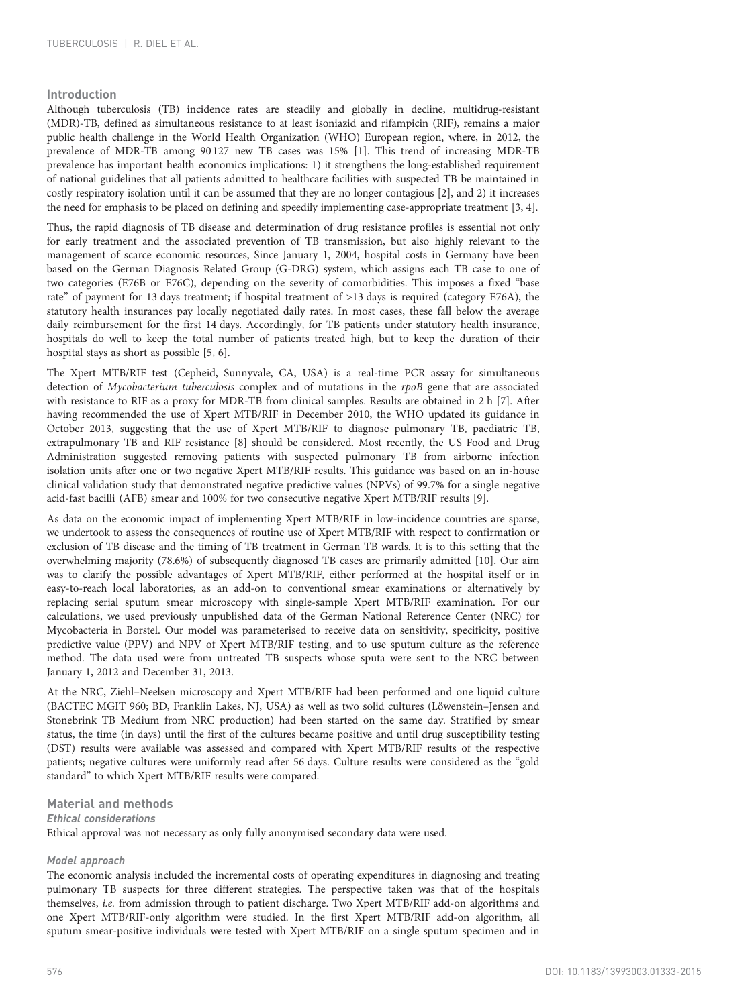# Introduction

Although tuberculosis (TB) incidence rates are steadily and globally in decline, multidrug-resistant (MDR)-TB, defined as simultaneous resistance to at least isoniazid and rifampicin (RIF), remains a major public health challenge in the World Health Organization (WHO) European region, where, in 2012, the prevalence of MDR-TB among 90127 new TB cases was 15% [[1](#page-12-0)]. This trend of increasing MDR-TB prevalence has important health economics implications: 1) it strengthens the long-established requirement of national guidelines that all patients admitted to healthcare facilities with suspected TB be maintained in costly respiratory isolation until it can be assumed that they are no longer contagious [[2](#page-12-0)], and 2) it increases the need for emphasis to be placed on defining and speedily implementing case-appropriate treatment [\[3](#page-12-0), [4\]](#page-12-0).

Thus, the rapid diagnosis of TB disease and determination of drug resistance profiles is essential not only for early treatment and the associated prevention of TB transmission, but also highly relevant to the management of scarce economic resources, Since January 1, 2004, hospital costs in Germany have been based on the German Diagnosis Related Group (G-DRG) system, which assigns each TB case to one of two categories (E76B or E76C), depending on the severity of comorbidities. This imposes a fixed "base rate" of payment for 13 days treatment; if hospital treatment of >13 days is required (category E76A), the statutory health insurances pay locally negotiated daily rates. In most cases, these fall below the average daily reimbursement for the first 14 days. Accordingly, for TB patients under statutory health insurance, hospitals do well to keep the total number of patients treated high, but to keep the duration of their hospital stays as short as possible [[5](#page-12-0), [6](#page-12-0)].

The Xpert MTB/RIF test (Cepheid, Sunnyvale, CA, USA) is a real-time PCR assay for simultaneous detection of Mycobacterium tuberculosis complex and of mutations in the rpoB gene that are associated with resistance to RIF as a proxy for MDR-TB from clinical samples. Results are obtained in 2 h [\[7\]](#page-12-0). After having recommended the use of Xpert MTB/RIF in December 2010, the WHO updated its guidance in October 2013, suggesting that the use of Xpert MTB/RIF to diagnose pulmonary TB, paediatric TB, extrapulmonary TB and RIF resistance [\[8\]](#page-12-0) should be considered. Most recently, the US Food and Drug Administration suggested removing patients with suspected pulmonary TB from airborne infection isolation units after one or two negative Xpert MTB/RIF results. This guidance was based on an in-house clinical validation study that demonstrated negative predictive values (NPVs) of 99.7% for a single negative acid-fast bacilli (AFB) smear and 100% for two consecutive negative Xpert MTB/RIF results [[9](#page-12-0)].

As data on the economic impact of implementing Xpert MTB/RIF in low-incidence countries are sparse, we undertook to assess the consequences of routine use of Xpert MTB/RIF with respect to confirmation or exclusion of TB disease and the timing of TB treatment in German TB wards. It is to this setting that the overwhelming majority (78.6%) of subsequently diagnosed TB cases are primarily admitted [\[10](#page-12-0)]. Our aim was to clarify the possible advantages of Xpert MTB/RIF, either performed at the hospital itself or in easy-to-reach local laboratories, as an add-on to conventional smear examinations or alternatively by replacing serial sputum smear microscopy with single-sample Xpert MTB/RIF examination. For our calculations, we used previously unpublished data of the German National Reference Center (NRC) for Mycobacteria in Borstel. Our model was parameterised to receive data on sensitivity, specificity, positive predictive value (PPV) and NPV of Xpert MTB/RIF testing, and to use sputum culture as the reference method. The data used were from untreated TB suspects whose sputa were sent to the NRC between January 1, 2012 and December 31, 2013.

At the NRC, Ziehl–Neelsen microscopy and Xpert MTB/RIF had been performed and one liquid culture (BACTEC MGIT 960; BD, Franklin Lakes, NJ, USA) as well as two solid cultures (Löwenstein–Jensen and Stonebrink TB Medium from NRC production) had been started on the same day. Stratified by smear status, the time (in days) until the first of the cultures became positive and until drug susceptibility testing (DST) results were available was assessed and compared with Xpert MTB/RIF results of the respective patients; negative cultures were uniformly read after 56 days. Culture results were considered as the "gold standard" to which Xpert MTB/RIF results were compared.

Material and methods Ethical considerations Ethical approval was not necessary as only fully anonymised secondary data were used.

## Model approach

The economic analysis included the incremental costs of operating expenditures in diagnosing and treating pulmonary TB suspects for three different strategies. The perspective taken was that of the hospitals themselves, i.e. from admission through to patient discharge. Two Xpert MTB/RIF add-on algorithms and one Xpert MTB/RIF-only algorithm were studied. In the first Xpert MTB/RIF add-on algorithm, all sputum smear-positive individuals were tested with Xpert MTB/RIF on a single sputum specimen and in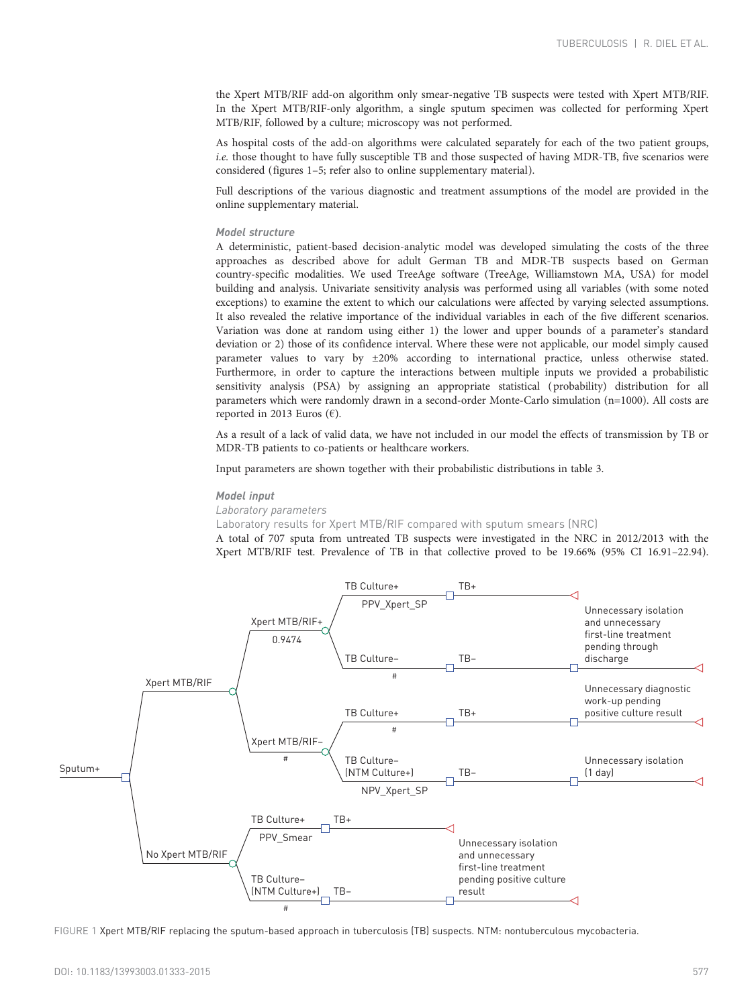the Xpert MTB/RIF add-on algorithm only smear-negative TB suspects were tested with Xpert MTB/RIF. In the Xpert MTB/RIF-only algorithm, a single sputum specimen was collected for performing Xpert MTB/RIF, followed by a culture; microscopy was not performed.

As hospital costs of the add-on algorithms were calculated separately for each of the two patient groups, i.e. those thought to have fully susceptible TB and those suspected of having MDR-TB, five scenarios were considered (figures 1–[5](#page-6-0); refer also to online supplementary material).

Full descriptions of the various diagnostic and treatment assumptions of the model are provided in the online supplementary material.

### Model structure

A deterministic, patient-based decision-analytic model was developed simulating the costs of the three approaches as described above for adult German TB and MDR-TB suspects based on German country-specific modalities. We used TreeAge software (TreeAge, Williamstown MA, USA) for model building and analysis. Univariate sensitivity analysis was performed using all variables (with some noted exceptions) to examine the extent to which our calculations were affected by varying selected assumptions. It also revealed the relative importance of the individual variables in each of the five different scenarios. Variation was done at random using either 1) the lower and upper bounds of a parameter's standard deviation or 2) those of its confidence interval. Where these were not applicable, our model simply caused parameter values to vary by ±20% according to international practice, unless otherwise stated. Furthermore, in order to capture the interactions between multiple inputs we provided a probabilistic sensitivity analysis (PSA) by assigning an appropriate statistical ( probability) distribution for all parameters which were randomly drawn in a second-order Monte-Carlo simulation (n=1000). All costs are reported in 2013 Euros ( $\epsilon$ ).

As a result of a lack of valid data, we have not included in our model the effects of transmission by TB or MDR-TB patients to co-patients or healthcare workers.

Input parameters are shown together with their probabilistic distributions in [table 3.](#page-8-0)

#### Model input

Laboratory parameters

Laboratory results for Xpert MTB/RIF compared with sputum smears (NRC)

A total of 707 sputa from untreated TB suspects were investigated in the NRC in 2012/2013 with the Xpert MTB/RIF test. Prevalence of TB in that collective proved to be 19.66% (95% CI 16.91–22.94).



FIGURE 1 Xpert MTB/RIF replacing the sputum-based approach in tuberculosis (TB) suspects. NTM: nontuberculous mycobacteria.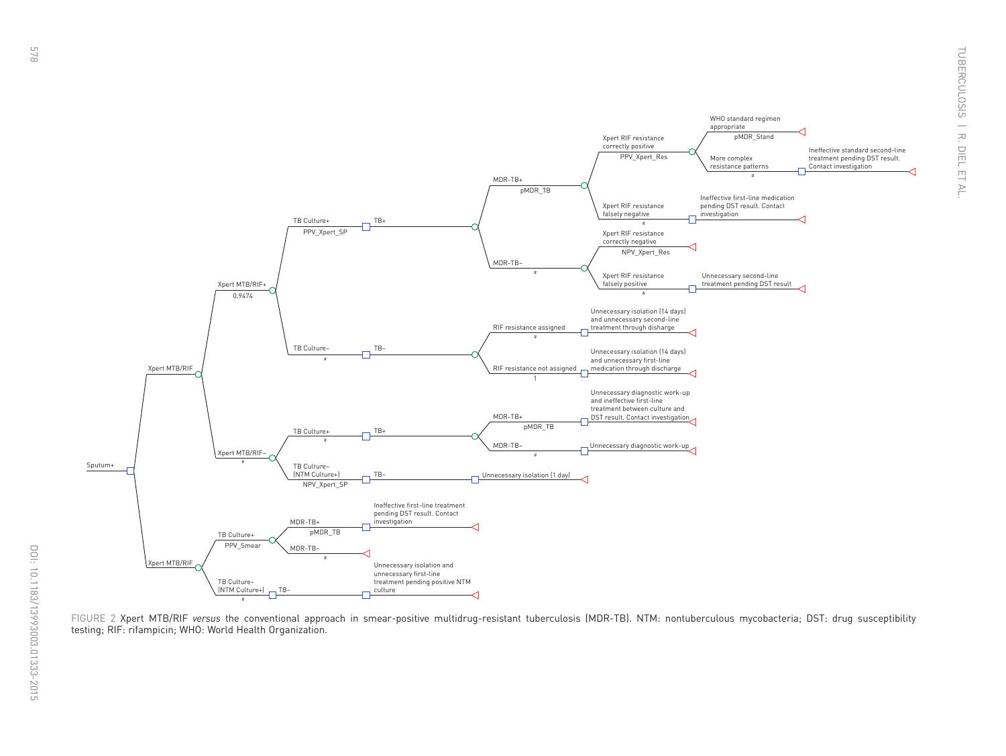

FIGURE 2 Xpert MTB/RIF versus the conventional approach in smear-positive multidrug-resistant tuberculosis (MDR-TB). NTM: nontuberculous mycobacteria; DST: drug susceptibility testing; RIF: rifampicin; WHO: World Health Organization.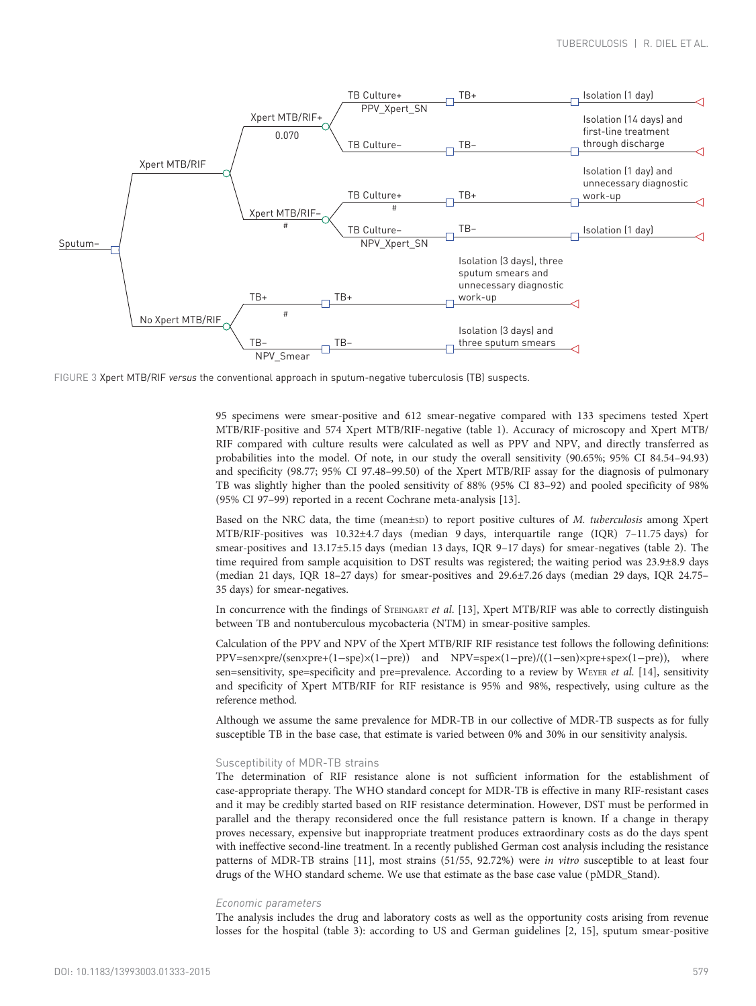

FIGURE 3 Xpert MTB/RIF versus the conventional approach in sputum-negative tuberculosis (TB) suspects.

95 specimens were smear-positive and 612 smear-negative compared with 133 specimens tested Xpert MTB/RIF-positive and 574 Xpert MTB/RIF-negative [\(table 1](#page-7-0)). Accuracy of microscopy and Xpert MTB/ RIF compared with culture results were calculated as well as PPV and NPV, and directly transferred as probabilities into the model. Of note, in our study the overall sensitivity (90.65%; 95% CI 84.54–94.93) and specificity (98.77; 95% CI 97.48–99.50) of the Xpert MTB/RIF assay for the diagnosis of pulmonary TB was slightly higher than the pooled sensitivity of 88% (95% CI 83–92) and pooled specificity of 98% (95% CI 97–99) reported in a recent Cochrane meta-analysis [\[13\]](#page-12-0).

Based on the NRC data, the time (mean±sp) to report positive cultures of M. tuberculosis among Xpert MTB/RIF-positives was 10.32±4.7 days (median 9 days, interquartile range (IQR) 7–11.75 days) for smear-positives and 13.17±5.15 days (median 13 days, IQR 9-17 days) for smear-negatives ([table 2\)](#page-7-0). The time required from sample acquisition to DST results was registered; the waiting period was 23.9±8.9 days (median 21 days, IQR 18–27 days) for smear-positives and 29.6±7.26 days (median 29 days, IQR 24.75– 35 days) for smear-negatives.

In concurrence with the findings of STEINGART et al. [[13\]](#page-12-0), Xpert MTB/RIF was able to correctly distinguish between TB and nontuberculous mycobacteria (NTM) in smear-positive samples.

Calculation of the PPV and NPV of the Xpert MTB/RIF RIF resistance test follows the following definitions: PPV=sen×pre/(sen×pre+(1−spe)×(1−pre)) and NPV=spe×(1−pre)/((1−sen)×pre+spe×(1−pre)), where sen=sensitivity, spe=specificity and pre=prevalence. According to a review by WEYER et al. [\[14\]](#page-12-0), sensitivity and specificity of Xpert MTB/RIF for RIF resistance is 95% and 98%, respectively, using culture as the reference method.

Although we assume the same prevalence for MDR-TB in our collective of MDR-TB suspects as for fully susceptible TB in the base case, that estimate is varied between 0% and 30% in our sensitivity analysis.

### Susceptibility of MDR-TB strains

The determination of RIF resistance alone is not sufficient information for the establishment of case-appropriate therapy. The WHO standard concept for MDR-TB is effective in many RIF-resistant cases and it may be credibly started based on RIF resistance determination. However, DST must be performed in parallel and the therapy reconsidered once the full resistance pattern is known. If a change in therapy proves necessary, expensive but inappropriate treatment produces extraordinary costs as do the days spent with ineffective second-line treatment. In a recently published German cost analysis including the resistance patterns of MDR-TB strains [\[11](#page-12-0)], most strains (51/55, 92.72%) were in vitro susceptible to at least four drugs of the WHO standard scheme. We use that estimate as the base case value ( pMDR\_Stand).

#### Economic parameters

The analysis includes the drug and laboratory costs as well as the opportunity costs arising from revenue losses for the hospital ([table 3\)](#page-8-0): according to US and German guidelines [\[2](#page-12-0), [15\]](#page-12-0), sputum smear-positive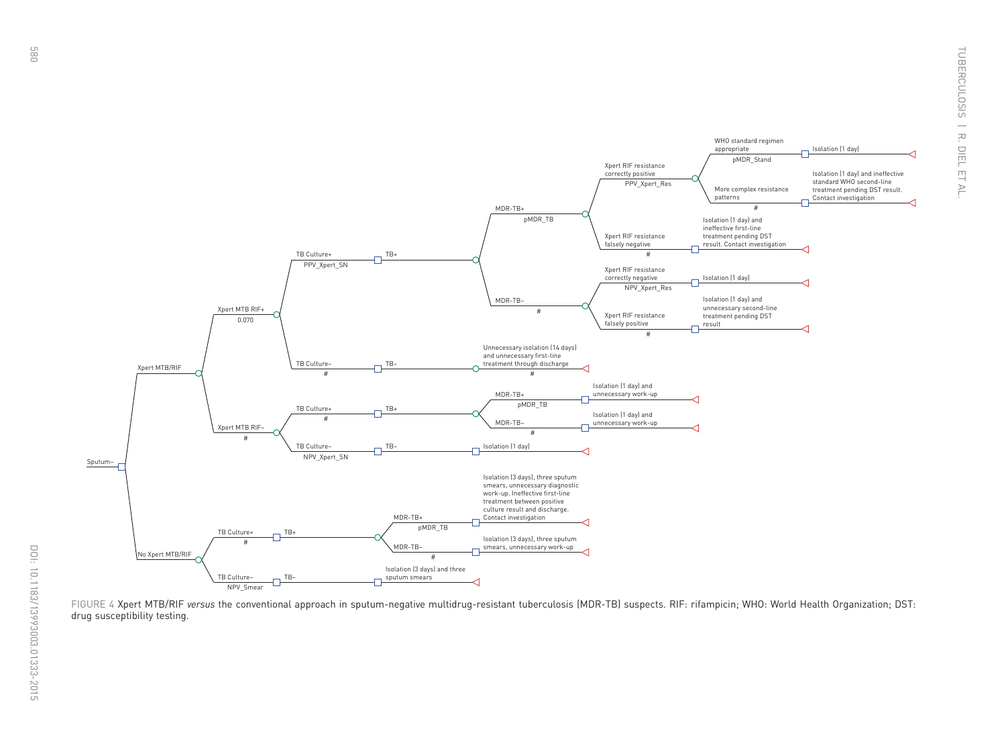

FIGURE 4 Xpert MTB/RIF versus the conventional approach in sputum-negative multidrug-resistant tuberculosis (MDR-TB) suspects. RIF: rifampicin; WHO: World Health Organization; DST: drug susceptibility testing.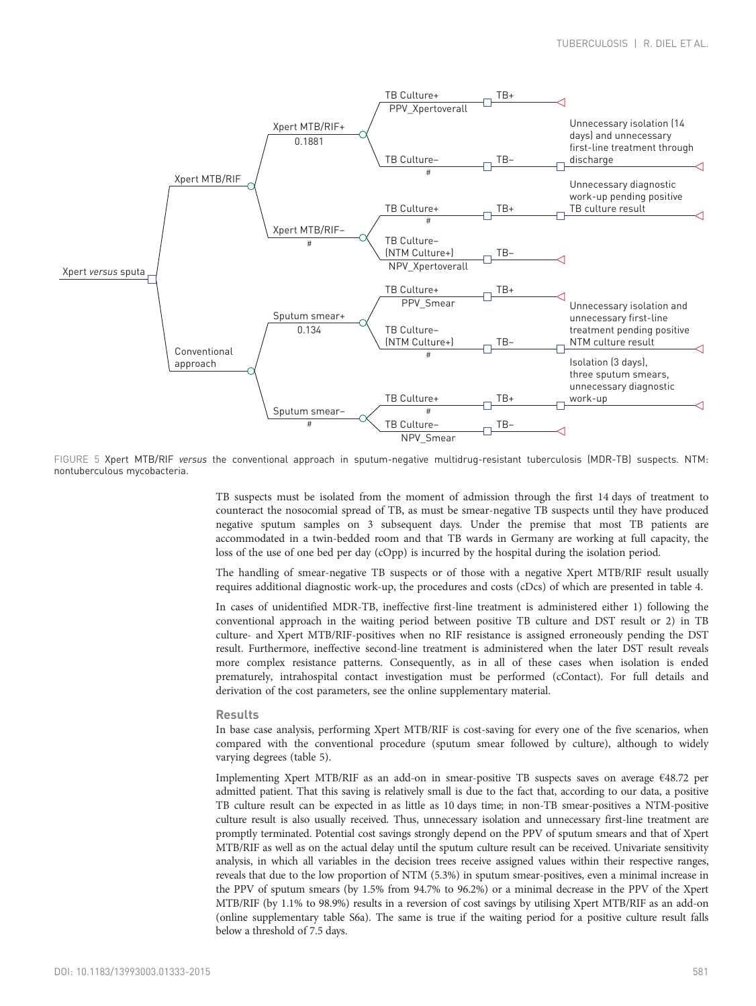<span id="page-6-0"></span>

FIGURE 5 Xpert MTB/RIF versus the conventional approach in sputum-negative multidrug-resistant tuberculosis (MDR-TB) suspects. NTM: nontuberculous mycobacteria.

TB suspects must be isolated from the moment of admission through the first 14 days of treatment to counteract the nosocomial spread of TB, as must be smear-negative TB suspects until they have produced negative sputum samples on 3 subsequent days. Under the premise that most TB patients are accommodated in a twin-bedded room and that TB wards in Germany are working at full capacity, the loss of the use of one bed per day (cOpp) is incurred by the hospital during the isolation period.

The handling of smear-negative TB suspects or of those with a negative Xpert MTB/RIF result usually requires additional diagnostic work-up, the procedures and costs (cDcs) of which are presented in [table 4](#page-10-0).

In cases of unidentified MDR-TB, ineffective first-line treatment is administered either 1) following the conventional approach in the waiting period between positive TB culture and DST result or 2) in TB culture- and Xpert MTB/RIF-positives when no RIF resistance is assigned erroneously pending the DST result. Furthermore, ineffective second-line treatment is administered when the later DST result reveals more complex resistance patterns. Consequently, as in all of these cases when isolation is ended prematurely, intrahospital contact investigation must be performed (cContact). For full details and derivation of the cost parameters, see the online supplementary material.

#### Results

In base case analysis, performing Xpert MTB/RIF is cost-saving for every one of the five scenarios, when compared with the conventional procedure (sputum smear followed by culture), although to widely varying degrees ([table 5\)](#page-10-0).

Implementing Xpert MTB/RIF as an add-on in smear-positive TB suspects saves on average €48.72 per admitted patient. That this saving is relatively small is due to the fact that, according to our data, a positive TB culture result can be expected in as little as 10 days time; in non-TB smear-positives a NTM-positive culture result is also usually received. Thus, unnecessary isolation and unnecessary first-line treatment are promptly terminated. Potential cost savings strongly depend on the PPV of sputum smears and that of Xpert MTB/RIF as well as on the actual delay until the sputum culture result can be received. Univariate sensitivity analysis, in which all variables in the decision trees receive assigned values within their respective ranges, reveals that due to the low proportion of NTM (5.3%) in sputum smear-positives, even a minimal increase in the PPV of sputum smears (by 1.5% from 94.7% to 96.2%) or a minimal decrease in the PPV of the Xpert MTB/RIF (by 1.1% to 98.9%) results in a reversion of cost savings by utilising Xpert MTB/RIF as an add-on (online supplementary table S6a). The same is true if the waiting period for a positive culture result falls below a threshold of 7.5 days.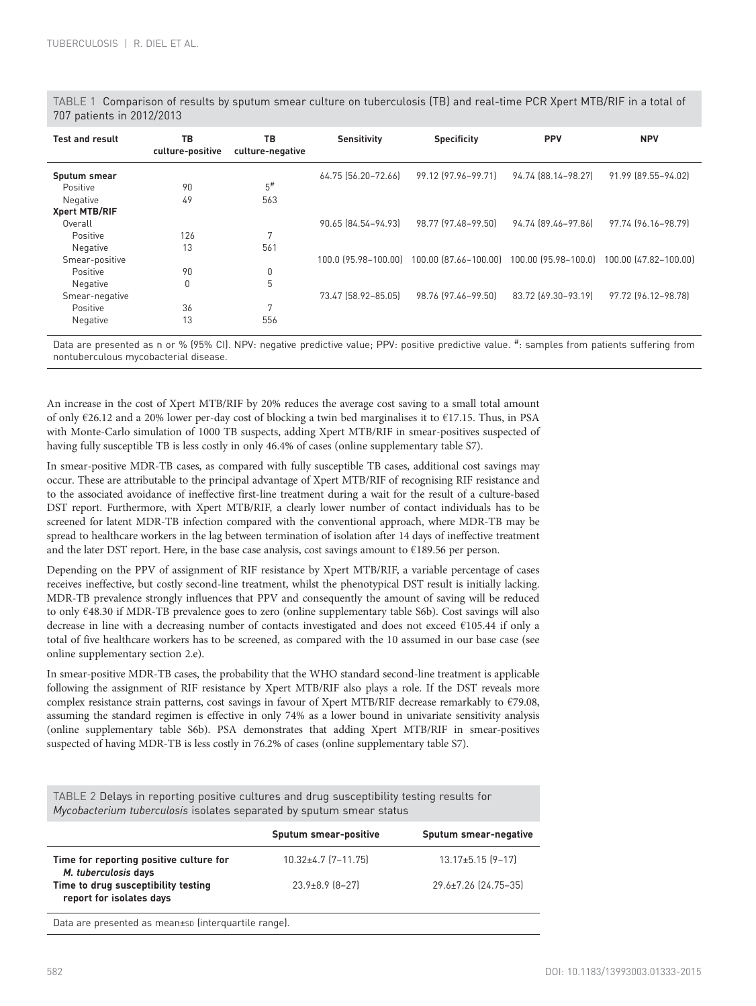| <b>Test and result</b> | TB<br>culture-positive | ТB<br>culture-negative | <b>Sensitivity</b>  | <b>Specificity</b>                                              | <b>PPV</b>          | <b>NPV</b>            |
|------------------------|------------------------|------------------------|---------------------|-----------------------------------------------------------------|---------------------|-----------------------|
| Sputum smear           |                        |                        | 64.75 [56.20-72.66] | 99.12 (97.96-99.71)                                             | 94.74 (88.14-98.27) | 91.99 (89.55-94.02)   |
| Positive               | 90                     | $5^{\#}$               |                     |                                                                 |                     |                       |
| Negative               | 49                     | 563                    |                     |                                                                 |                     |                       |
| <b>Xpert MTB/RIF</b>   |                        |                        |                     |                                                                 |                     |                       |
| Overall                |                        |                        | 90.65 [84.54-94.93] | 98.77 (97.48–99.50)                                             | 94.74 (89.46-97.86) | 97.74 (96.16-98.79)   |
| Positive               | 126                    | 7                      |                     |                                                                 |                     |                       |
| Negative               | 13                     | 561                    |                     |                                                                 |                     |                       |
| Smear-positive         |                        |                        |                     | 100.0 (95.98-100.00) 100.00 (87.66-100.00) 100.00 (95.98-100.0) |                     | 100.00 (47.82-100.00) |
| Positive               | 90                     | 0                      |                     |                                                                 |                     |                       |
| Negative               | $\Omega$               | 5                      |                     |                                                                 |                     |                       |
| Smear-negative         |                        |                        | 73.47 (58.92-85.05) | 98.76 (97.46-99.50)                                             | 83.72 (69.30-93.19) | 97.72 (96.12-98.78)   |
| Positive               | 36                     | 7                      |                     |                                                                 |                     |                       |
| Negative               | 13                     | 556                    |                     |                                                                 |                     |                       |

<span id="page-7-0"></span>TABLE 1 Comparison of results by sputum smear culture on tuberculosis (TB) and real-time PCR Xpert MTB/RIF in a total of 707 patients in 2012/2013

Data are presented as n or % (95% CI). NPV: negative predictive value; PPV: positive predictive value. #: samples from patients suffering from nontuberculous mycobacterial disease.

An increase in the cost of Xpert MTB/RIF by 20% reduces the average cost saving to a small total amount of only €26.12 and a 20% lower per-day cost of blocking a twin bed marginalises it to €17.15. Thus, in PSA with Monte-Carlo simulation of 1000 TB suspects, adding Xpert MTB/RIF in smear-positives suspected of having fully susceptible TB is less costly in only 46.4% of cases (online supplementary table S7).

In smear-positive MDR-TB cases, as compared with fully susceptible TB cases, additional cost savings may occur. These are attributable to the principal advantage of Xpert MTB/RIF of recognising RIF resistance and to the associated avoidance of ineffective first-line treatment during a wait for the result of a culture-based DST report. Furthermore, with Xpert MTB/RIF, a clearly lower number of contact individuals has to be screened for latent MDR-TB infection compared with the conventional approach, where MDR-TB may be spread to healthcare workers in the lag between termination of isolation after 14 days of ineffective treatment and the later DST report. Here, in the base case analysis, cost savings amount to €189.56 per person.

Depending on the PPV of assignment of RIF resistance by Xpert MTB/RIF, a variable percentage of cases receives ineffective, but costly second-line treatment, whilst the phenotypical DST result is initially lacking. MDR-TB prevalence strongly influences that PPV and consequently the amount of saving will be reduced to only €48.30 if MDR-TB prevalence goes to zero (online supplementary table S6b). Cost savings will also decrease in line with a decreasing number of contacts investigated and does not exceed €105.44 if only a total of five healthcare workers has to be screened, as compared with the 10 assumed in our base case (see online supplementary section 2.e).

In smear-positive MDR-TB cases, the probability that the WHO standard second-line treatment is applicable following the assignment of RIF resistance by Xpert MTB/RIF also plays a role. If the DST reveals more complex resistance strain patterns, cost savings in favour of Xpert MTB/RIF decrease remarkably to €79.08, assuming the standard regimen is effective in only 74% as a lower bound in univariate sensitivity analysis (online supplementary table S6b). PSA demonstrates that adding Xpert MTB/RIF in smear-positives suspected of having MDR-TB is less costly in 76.2% of cases (online supplementary table S7).

TABLE 2 Delays in reporting positive cultures and drug susceptibility testing results for Mycobacterium tuberculosis isolates separated by sputum smear status

|                                                                 | Sputum smear-positive         | Sputum smear-negative       |
|-----------------------------------------------------------------|-------------------------------|-----------------------------|
| Time for reporting positive culture for<br>M. tuberculosis days | $10.32 \pm 4.7$ $[7 - 11.75]$ | $13.17 \pm 5.15$ $(9 - 17)$ |
| Time to drug susceptibility testing<br>report for isolates days | $23.9\pm8.9$ $[8-27]$         | 29.6±7.26 (24.75-35)        |
| Data are presented as mean-sep (interguartile range)            |                               |                             |

Data are presented as mean±SD (interquartile range).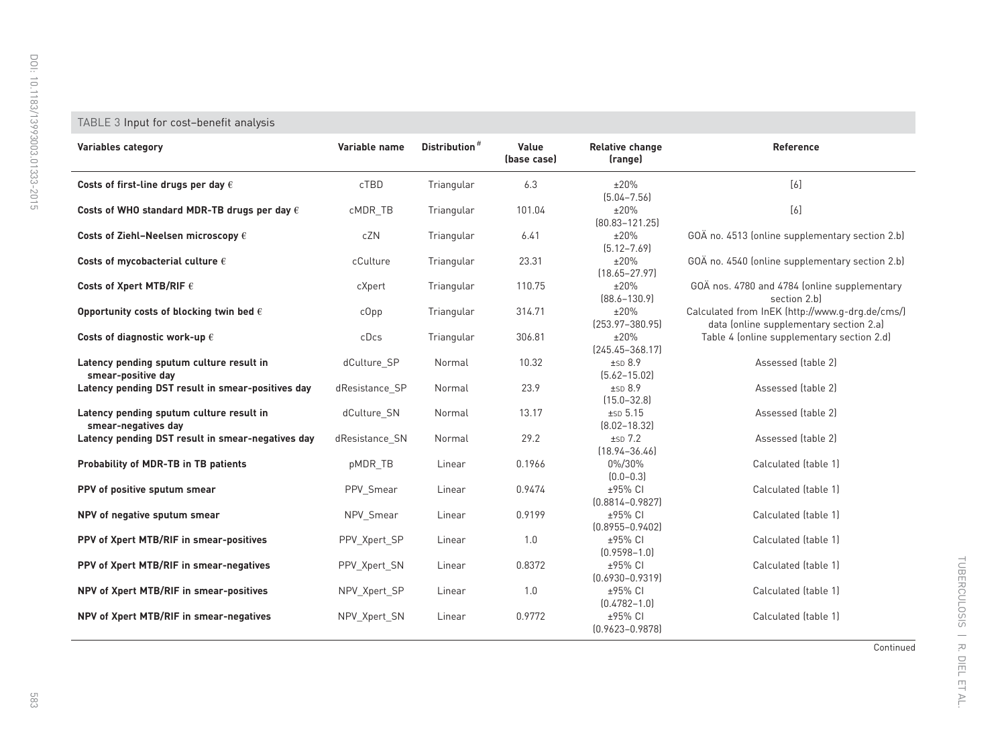## <span id="page-8-0"></span>TABLE 3 Input for cost–benefit analysis

| Variables category                                              | Variable name  | Distribution <sup>#</sup> | Value<br>(base case) | <b>Relative change</b><br>(range) | Reference                                                                                  |
|-----------------------------------------------------------------|----------------|---------------------------|----------------------|-----------------------------------|--------------------------------------------------------------------------------------------|
| Costs of first-line drugs per day $\epsilon$                    | cTBD           | Triangular                | 6.3                  | ±20%<br>$[5.04 - 7.56]$           | [6]                                                                                        |
| Costs of WHO standard MDR-TB drugs per day $\epsilon$           | cMDR TB        | Triangular                | 101.04               | ±20%<br>$[80.83 - 121.25]$        | $[6]$                                                                                      |
| Costs of Ziehl-Neelsen microscopy $\epsilon$                    | cZN            | Triangular                | 6.41                 | ±20%<br>$[5.12 - 7.69]$           | GOÄ no. 4513 (online supplementary section 2.b)                                            |
| Costs of mycobacterial culture $\epsilon$                       | cCulture       | Triangular                | 23.31                | ±20%<br>$[18.65 - 27.97]$         | GOÄ no. 4540 (online supplementary section 2.b)                                            |
| Costs of Xpert MTB/RIF $\epsilon$                               | cXpert         | Triangular                | 110.75               | ±20%<br>$[88.6 - 130.9]$          | GOA nos. 4780 and 4784 (online supplementary<br>section 2.bl                               |
| Opportunity costs of blocking twin bed $\epsilon$               | $c$ Opp        | Triangular                | 314.71               | ±20%<br>$[253.97 - 380.95]$       | Calculated from InEK (http://www.g-drg.de/cms/)<br>data (online supplementary section 2.a) |
| Costs of diagnostic work-up $\epsilon$                          | cDcs           | Triangular                | 306.81               | ±20%<br>$[245.45 - 368.17]$       | Table 4 (online supplementary section 2.d)                                                 |
| Latency pending sputum culture result in<br>smear-positive day  | dCulture SP    | Normal                    | 10.32                | ±SD 8.9<br>$[5.62 - 15.02]$       | Assessed (table 2)                                                                         |
| Latency pending DST result in smear-positives day               | dResistance_SP | Normal                    | 23.9                 | ±SD 8.9<br>$(15.0 - 32.8)$        | Assessed (table 2)                                                                         |
| Latency pending sputum culture result in<br>smear-negatives day | dCulture SN    | Normal                    | 13.17                | $±SD$ 5.15<br>$[8.02 - 18.32]$    | Assessed (table 2)                                                                         |
| Latency pending DST result in smear-negatives day               | dResistance SN | Normal                    | 29.2                 | $±SD$ $7.2$<br>$[18.94 - 36.46]$  | Assessed (table 2)                                                                         |
| <b>Probability of MDR-TB in TB patients</b>                     | pMDR TB        | Linear                    | 0.1966               | 0%/30%<br>$[0.0 - 0.3]$           | Calculated (table 1)                                                                       |
| PPV of positive sputum smear                                    | PPV Smear      | Linear                    | 0.9474               | ±95% CI<br>$(0.8814 - 0.9827)$    | Calculated (table 1)                                                                       |
| NPV of negative sputum smear                                    | NPV Smear      | Linear                    | 0.9199               | ±95% CI<br>$[0.8955 - 0.9402]$    | Calculated (table 1)                                                                       |
| PPV of Xpert MTB/RIF in smear-positives                         | PPV Xpert SP   | Linear                    | 1.0                  | ±95% CI<br>$[0.9598 - 1.0]$       | Calculated (table 1)                                                                       |
| PPV of Xpert MTB/RIF in smear-negatives                         | PPV Xpert SN   | Linear                    | 0.8372               | ±95% CI<br>$[0.6930 - 0.9319]$    | Calculated (table 1)                                                                       |
| NPV of Xpert MTB/RIF in smear-positives                         | NPV Xpert SP   | Linear                    | 1.0                  | ±95% CI<br>$[0.4782 - 1.0]$       | Calculated (table 1)                                                                       |
| NPV of Xpert MTB/RIF in smear-negatives                         | NPV Xpert SN   | Linear                    | 0.9772               | ±95% CI<br>$[0.9623 - 0.9878]$    | Calculated (table 1)                                                                       |

Continued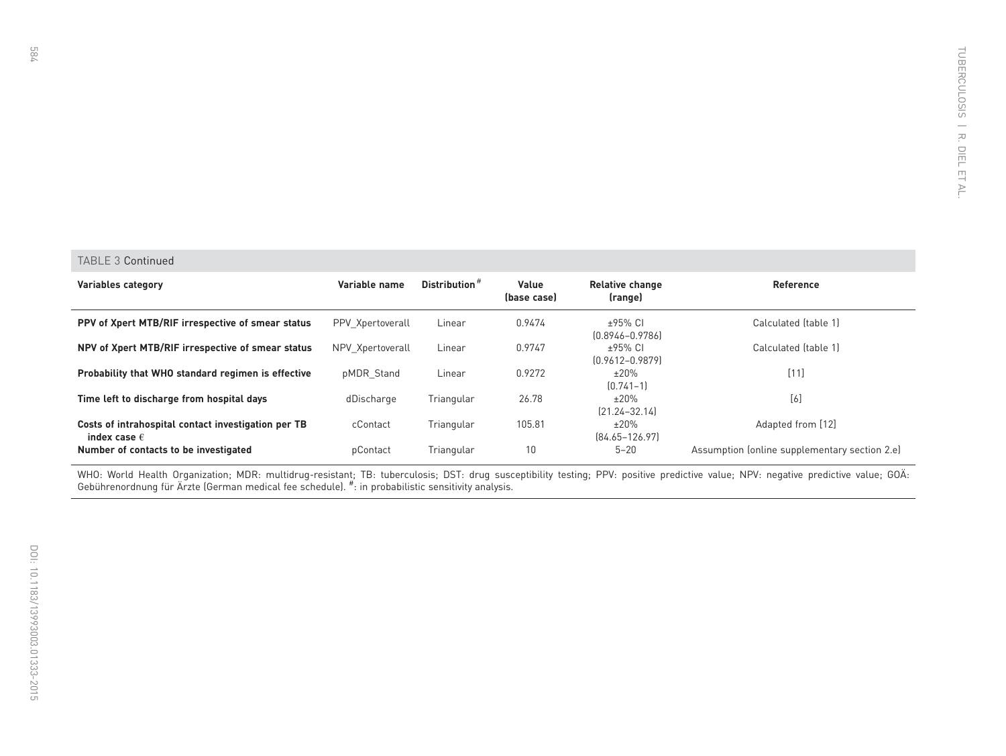#### TABLE 3 Continued

| Variables category                                                           | Variable name    | Distribution <sup>#</sup> | Value<br>(base case) | <b>Relative change</b><br>(range) | Reference                                     |
|------------------------------------------------------------------------------|------------------|---------------------------|----------------------|-----------------------------------|-----------------------------------------------|
| PPV of Xpert MTB/RIF irrespective of smear status                            | PPV Xpertoverall | Linear                    | 0.9474               | $+95%$ CL<br>$[0.8946 - 0.9786]$  | Calculated (table 1)                          |
| NPV of Xpert MTB/RIF irrespective of smear status                            | NPV Xpertoverall | Linear                    | 0.9747               | $±95\%$ CI<br>$[0.9612 - 0.9879]$ | Calculated (table 1)                          |
| Probability that WHO standard regimen is effective                           | pMDR Stand       | Linear                    | 0.9272               | ±20%<br>$[0.741 - 1]$             | [11]                                          |
| Time left to discharge from hospital days                                    | dDischarge       | Triangular                | 26.78                | ±20%<br>$[21.24 - 32.14]$         | [6]                                           |
| Costs of intrahospital contact investigation per TB<br>index case $\epsilon$ | cContact         | Triangular                | 105.81               | ±20%<br>$[84.65 - 126.97]$        | Adapted from [12]                             |
| Number of contacts to be investigated                                        | pContact         | Triangular                | 10                   | $5 - 20$                          | Assumption (online supplementary section 2.e) |

WHO: World Health Organization; MDR: multidrug-resistant; TB: tuberculosis; DST: drug susceptibility testing; PPV: positive predictive value; NPV: negative predictive value; GOÄ: Gebührenordnung für Ärzte (German medical fee schedule).  $^{\#}$ : in probabilistic sensitivity analysis.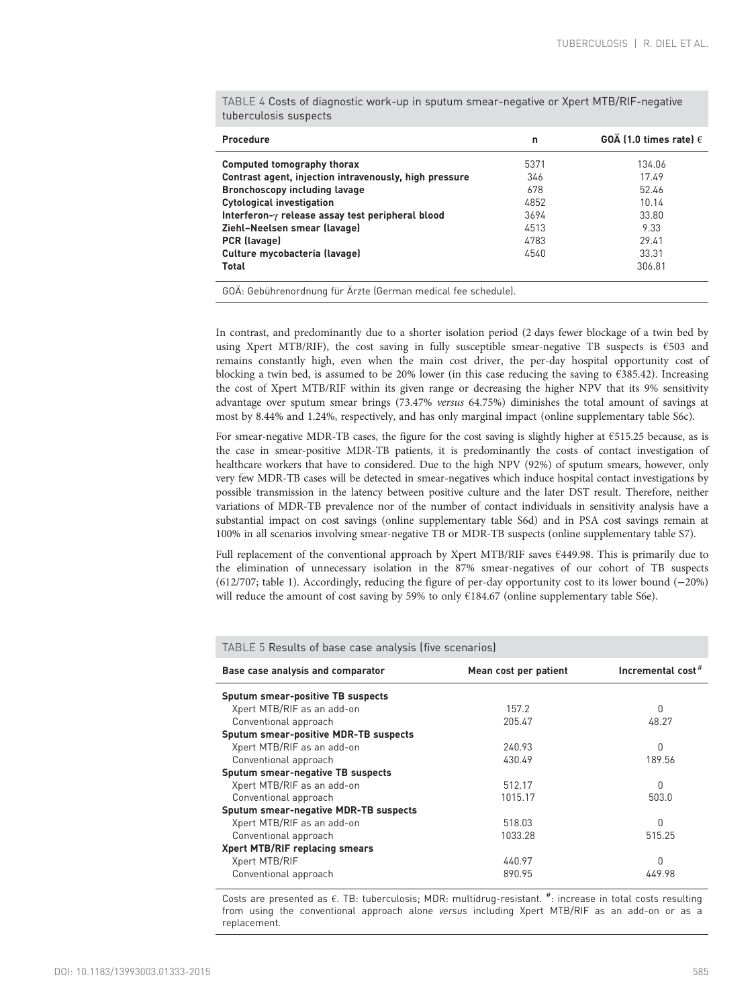| Procedure                                                | n    | GOA (1.0 times rate) $\epsilon$ |
|----------------------------------------------------------|------|---------------------------------|
| Computed tomography thorax                               | 5371 | 134.06                          |
| Contrast agent, injection intravenously, high pressure   | 346  | 1749                            |
| <b>Bronchoscopy including lavage</b>                     | 678  | 52.46                           |
| <b>Cytological investigation</b>                         | 4852 | 10.14                           |
| Interferon- $\gamma$ release assay test peripheral blood | 3694 | 33.80                           |
| Ziehl-Neelsen smear (lavage)                             | 4513 | 9.33                            |
| PCR (lavage)                                             | 4783 | 29.41                           |
| Culture mycobacteria (lavage)                            | 4540 | 33.31                           |
| Total                                                    |      | 306.81                          |

<span id="page-10-0"></span>TABLE 4 Costs of diagnostic work-up in sputum smear-negative or Xpert MTB/RIF-negative tuberculosis suspects

GOÄ: Gebührenordnung für Ärzte (German medical fee schedule).

In contrast, and predominantly due to a shorter isolation period (2 days fewer blockage of a twin bed by using Xpert MTB/RIF), the cost saving in fully susceptible smear-negative TB suspects is  $€503$  and remains constantly high, even when the main cost driver, the per-day hospital opportunity cost of blocking a twin bed, is assumed to be 20% lower (in this case reducing the saving to  $\epsilon$ 385.42). Increasing the cost of Xpert MTB/RIF within its given range or decreasing the higher NPV that its 9% sensitivity advantage over sputum smear brings (73.47% versus 64.75%) diminishes the total amount of savings at most by 8.44% and 1.24%, respectively, and has only marginal impact (online supplementary table S6c).

For smear-negative MDR-TB cases, the figure for the cost saving is slightly higher at €515.25 because, as is the case in smear-positive MDR-TB patients, it is predominantly the costs of contact investigation of healthcare workers that have to considered. Due to the high NPV (92%) of sputum smears, however, only very few MDR-TB cases will be detected in smear-negatives which induce hospital contact investigations by possible transmission in the latency between positive culture and the later DST result. Therefore, neither variations of MDR-TB prevalence nor of the number of contact individuals in sensitivity analysis have a substantial impact on cost savings (online supplementary table S6d) and in PSA cost savings remain at 100% in all scenarios involving smear-negative TB or MDR-TB suspects (online supplementary table S7).

Full replacement of the conventional approach by Xpert MTB/RIF saves €449.98. This is primarily due to the elimination of unnecessary isolation in the 87% smear-negatives of our cohort of TB suspects (612/707; [table 1\)](#page-7-0). Accordingly, reducing the figure of per-day opportunity cost to its lower bound (−20%) will reduce the amount of cost saving by 59% to only  $E184.67$  (online supplementary table S6e).

| TABLE 5 Results of base case analysis (five scenarios) |                       |                               |  |  |  |
|--------------------------------------------------------|-----------------------|-------------------------------|--|--|--|
| Base case analysis and comparator                      | Mean cost per patient | Incremental cost <sup>#</sup> |  |  |  |
| Sputum smear-positive TB suspects                      |                       |                               |  |  |  |
| Xpert MTB/RIF as an add-on                             | 157.2                 | 0                             |  |  |  |
| Conventional approach                                  | 205.47                | 48.27                         |  |  |  |
| Sputum smear-positive MDR-TB suspects                  |                       |                               |  |  |  |
| Xpert MTB/RIF as an add-on                             | 240.93                | U                             |  |  |  |
| Conventional approach                                  | 430.49                | 189.56                        |  |  |  |
| Sputum smear-negative TB suspects                      |                       |                               |  |  |  |
| Xpert MTB/RIF as an add-on                             | 512.17                | U                             |  |  |  |
| Conventional approach                                  | 1015.17               | 503.0                         |  |  |  |
| Sputum smear-negative MDR-TB suspects                  |                       |                               |  |  |  |
| Xpert MTB/RIF as an add-on                             | 518.03                | Ŋ                             |  |  |  |
| Conventional approach                                  | 1033.28               | 515.25                        |  |  |  |
| Xpert MTB/RIF replacing smears                         |                       |                               |  |  |  |
| Xpert MTB/RIF                                          | 440.97                | Ŋ                             |  |  |  |
| Conventional approach                                  | 890.95                | 449.98                        |  |  |  |

Costs are presented as  $\epsilon$ . TB: tuberculosis; MDR: multidrug-resistant.  $\#$ : increase in total costs resulting from using the conventional approach alone versus including Xpert MTB/RIF as an add-on or as a replacement.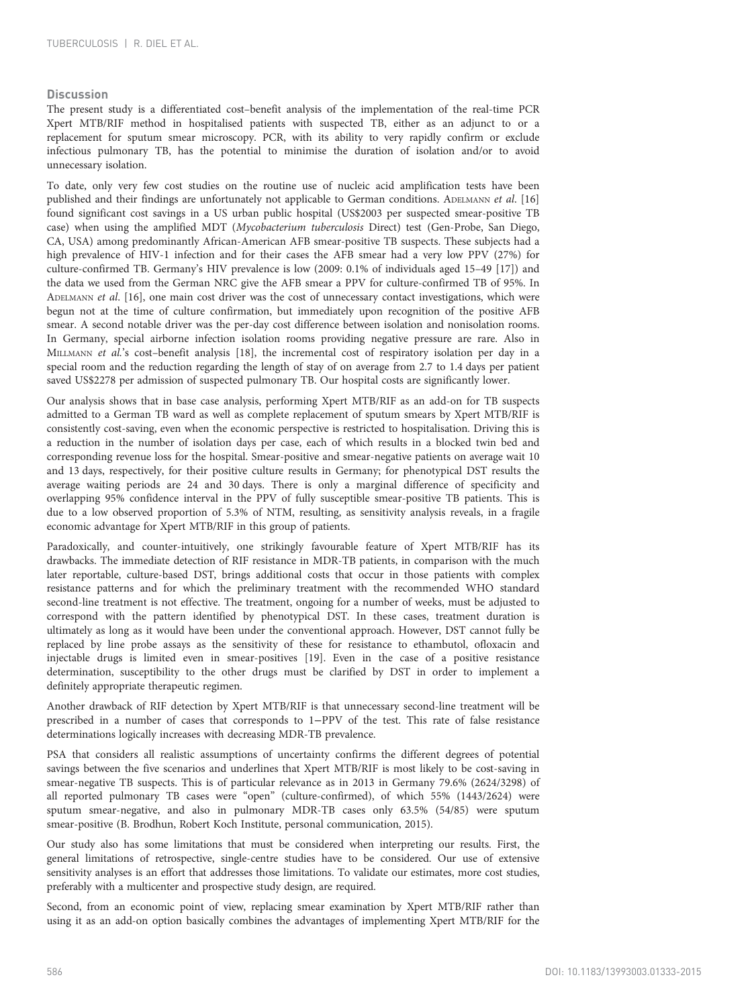# **Discussion**

The present study is a differentiated cost–benefit analysis of the implementation of the real-time PCR Xpert MTB/RIF method in hospitalised patients with suspected TB, either as an adjunct to or a replacement for sputum smear microscopy. PCR, with its ability to very rapidly confirm or exclude infectious pulmonary TB, has the potential to minimise the duration of isolation and/or to avoid unnecessary isolation.

To date, only very few cost studies on the routine use of nucleic acid amplification tests have been published and their findings are unfortunately not applicable to German conditions. ADELMANN et al. [\[16](#page-12-0)] found significant cost savings in a US urban public hospital (US\$2003 per suspected smear-positive TB case) when using the amplified MDT (Mycobacterium tuberculosis Direct) test (Gen-Probe, San Diego, CA, USA) among predominantly African-American AFB smear-positive TB suspects. These subjects had a high prevalence of HIV-1 infection and for their cases the AFB smear had a very low PPV (27%) for culture-confirmed TB. Germany's HIV prevalence is low (2009: 0.1% of individuals aged 15–49 [[17](#page-12-0)]) and the data we used from the German NRC give the AFB smear a PPV for culture-confirmed TB of 95%. In ADELMANN et al. [[16](#page-12-0)], one main cost driver was the cost of unnecessary contact investigations, which were begun not at the time of culture confirmation, but immediately upon recognition of the positive AFB smear. A second notable driver was the per-day cost difference between isolation and nonisolation rooms. In Germany, special airborne infection isolation rooms providing negative pressure are rare. Also in MILLMANN et al.'s cost-benefit analysis [[18](#page-12-0)], the incremental cost of respiratory isolation per day in a special room and the reduction regarding the length of stay of on average from 2.7 to 1.4 days per patient saved US\$2278 per admission of suspected pulmonary TB. Our hospital costs are significantly lower.

Our analysis shows that in base case analysis, performing Xpert MTB/RIF as an add-on for TB suspects admitted to a German TB ward as well as complete replacement of sputum smears by Xpert MTB/RIF is consistently cost-saving, even when the economic perspective is restricted to hospitalisation. Driving this is a reduction in the number of isolation days per case, each of which results in a blocked twin bed and corresponding revenue loss for the hospital. Smear-positive and smear-negative patients on average wait 10 and 13 days, respectively, for their positive culture results in Germany; for phenotypical DST results the average waiting periods are 24 and 30 days. There is only a marginal difference of specificity and overlapping 95% confidence interval in the PPV of fully susceptible smear-positive TB patients. This is due to a low observed proportion of 5.3% of NTM, resulting, as sensitivity analysis reveals, in a fragile economic advantage for Xpert MTB/RIF in this group of patients.

Paradoxically, and counter-intuitively, one strikingly favourable feature of Xpert MTB/RIF has its drawbacks. The immediate detection of RIF resistance in MDR-TB patients, in comparison with the much later reportable, culture-based DST, brings additional costs that occur in those patients with complex resistance patterns and for which the preliminary treatment with the recommended WHO standard second-line treatment is not effective. The treatment, ongoing for a number of weeks, must be adjusted to correspond with the pattern identified by phenotypical DST. In these cases, treatment duration is ultimately as long as it would have been under the conventional approach. However, DST cannot fully be replaced by line probe assays as the sensitivity of these for resistance to ethambutol, ofloxacin and injectable drugs is limited even in smear-positives [\[19\]](#page-12-0). Even in the case of a positive resistance determination, susceptibility to the other drugs must be clarified by DST in order to implement a definitely appropriate therapeutic regimen.

Another drawback of RIF detection by Xpert MTB/RIF is that unnecessary second-line treatment will be prescribed in a number of cases that corresponds to 1−PPV of the test. This rate of false resistance determinations logically increases with decreasing MDR-TB prevalence.

PSA that considers all realistic assumptions of uncertainty confirms the different degrees of potential savings between the five scenarios and underlines that Xpert MTB/RIF is most likely to be cost-saving in smear-negative TB suspects. This is of particular relevance as in 2013 in Germany 79.6% (2624/3298) of all reported pulmonary TB cases were "open" (culture-confirmed), of which 55% (1443/2624) were sputum smear-negative, and also in pulmonary MDR-TB cases only 63.5% (54/85) were sputum smear-positive (B. Brodhun, Robert Koch Institute, personal communication, 2015).

Our study also has some limitations that must be considered when interpreting our results. First, the general limitations of retrospective, single-centre studies have to be considered. Our use of extensive sensitivity analyses is an effort that addresses those limitations. To validate our estimates, more cost studies, preferably with a multicenter and prospective study design, are required.

Second, from an economic point of view, replacing smear examination by Xpert MTB/RIF rather than using it as an add-on option basically combines the advantages of implementing Xpert MTB/RIF for the